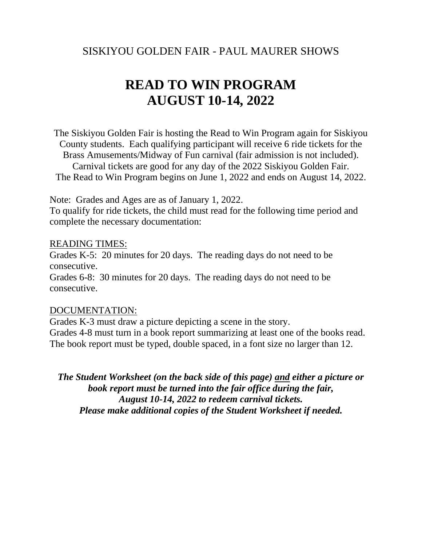### SISKIYOU GOLDEN FAIR - PAUL MAURER SHOWS

# **READ TO WIN PROGRAM AUGUST 10-14, 2022**

The Siskiyou Golden Fair is hosting the Read to Win Program again for Siskiyou County students. Each qualifying participant will receive 6 ride tickets for the Brass Amusements/Midway of Fun carnival (fair admission is not included). Carnival tickets are good for any day of the 2022 Siskiyou Golden Fair. The Read to Win Program begins on June 1, 2022 and ends on August 14, 2022.

Note: Grades and Ages are as of January 1, 2022.

To qualify for ride tickets, the child must read for the following time period and complete the necessary documentation:

#### READING TIMES:

Grades K-5: 20 minutes for 20 days. The reading days do not need to be consecutive.

Grades 6-8: 30 minutes for 20 days. The reading days do not need to be consecutive.

#### DOCUMENTATION:

Grades K-3 must draw a picture depicting a scene in the story. Grades 4-8 must turn in a book report summarizing at least one of the books read. The book report must be typed, double spaced, in a font size no larger than 12.

*The Student Worksheet (on the back side of this page) and either a picture or book report must be turned into the fair office during the fair, August 10-14, 2022 to redeem carnival tickets. Please make additional copies of the Student Worksheet if needed.*